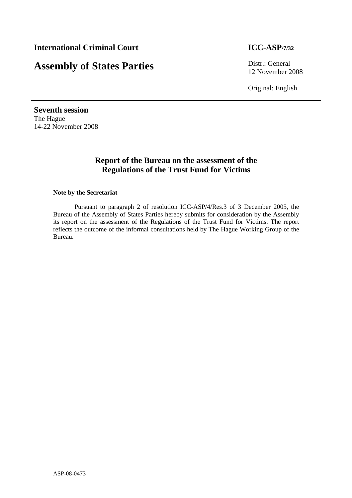# **Assembly of States Parties** Distr.: General

12 November 2008

Original: English

**Seventh session**  The Hague 14-22 November 2008

# **Report of the Bureau on the assessment of the Regulations of the Trust Fund for Victims**

#### **Note by the Secretariat**

Pursuant to paragraph 2 of resolution ICC-ASP/4/Res.3 of 3 December 2005, the Bureau of the Assembly of States Parties hereby submits for consideration by the Assembly its report on the assessment of the Regulations of the Trust Fund for Victims. The report reflects the outcome of the informal consultations held by The Hague Working Group of the Bureau.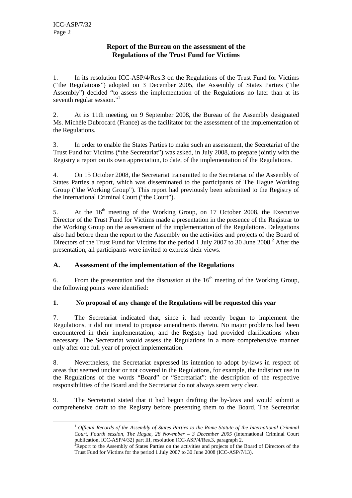ı

### **Report of the Bureau on the assessment of the Regulations of the Trust Fund for Victims**

1. In its resolution ICC-ASP/4/Res.3 on the Regulations of the Trust Fund for Victims ("the Regulations") adopted on 3 December 2005, the Assembly of States Parties ("the Assembly") decided "to assess the implementation of the Regulations no later than at its seventh regular session."<sup>1</sup>

2. At its 11th meeting, on 9 September 2008, the Bureau of the Assembly designated Ms. Michèle Dubrocard (France) as the facilitator for the assessment of the implementation of the Regulations.

3. In order to enable the States Parties to make such an assessment, the Secretariat of the Trust Fund for Victims ("the Secretariat") was asked, in July 2008, to prepare jointly with the Registry a report on its own appreciation, to date, of the implementation of the Regulations.

4. On 15 October 2008, the Secretariat transmitted to the Secretariat of the Assembly of States Parties a report, which was disseminated to the participants of The Hague Working Group ("the Working Group"). This report had previously been submitted to the Registry of the International Criminal Court ("the Court").

5. At the  $16<sup>th</sup>$  meeting of the Working Group, on 17 October 2008, the Executive Director of the Trust Fund for Victims made a presentation in the presence of the Registrar to the Working Group on the assessment of the implementation of the Regulations. Delegations also had before them the report to the Assembly on the activities and projects of the Board of Directors of the Trust Fund for Victims for the period 1 July 2007 to 30 June 2008.<sup>2</sup> After the presentation, all participants were invited to express their views.

## **A. Assessment of the implementation of the Regulations**

6. From the presentation and the discussion at the  $16<sup>th</sup>$  meeting of the Working Group, the following points were identified:

#### **1. No proposal of any change of the Regulations will be requested this year**

7. The Secretariat indicated that, since it had recently begun to implement the Regulations, it did not intend to propose amendments thereto. No major problems had been encountered in their implementation, and the Registry had provided clarifications when necessary. The Secretariat would assess the Regulations in a more comprehensive manner only after one full year of project implementation.

8. Nevertheless, the Secretariat expressed its intention to adopt by-laws in respect of areas that seemed unclear or not covered in the Regulations, for example, the indistinct use in the Regulations of the words "Board" or "Secretariat": the description of the respective responsibilities of the Board and the Secretariat do not always seem very clear.

9. The Secretariat stated that it had begun drafting the by-laws and would submit a comprehensive draft to the Registry before presenting them to the Board. The Secretariat

<sup>1</sup> *Official Records of the Assembly of States Parties to the Rome Statute of the International Criminal Court, Fourth session, The Hague, 28 November – 3 December 2005* (International Criminal Court publication, ICC-ASP/4/32) part III, resolution ICC-ASP/4/Res.3, paragraph 2.

<sup>&</sup>lt;sup>2</sup>Report to the Assembly of States Parties on the activities and projects of the Board of Directors of the Trust Fund for Victims for the period 1 July 2007 to 30 June 2008 (ICC-ASP/7/13).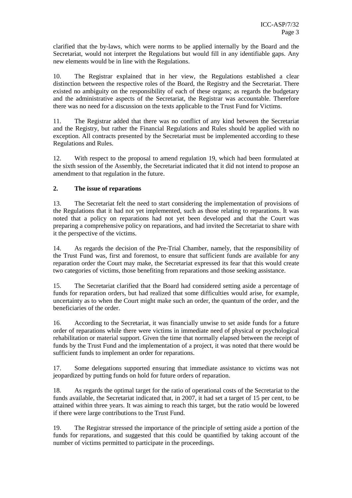clarified that the by-laws, which were norms to be applied internally by the Board and the Secretariat, would not interpret the Regulations but would fill in any identifiable gaps. Any new elements would be in line with the Regulations.

10. The Registrar explained that in her view, the Regulations established a clear distinction between the respective roles of the Board, the Registry and the Secretariat. There existed no ambiguity on the responsibility of each of these organs; as regards the budgetary and the administrative aspects of the Secretariat, the Registrar was accountable. Therefore there was no need for a discussion on the texts applicable to the Trust Fund for Victims.

11. The Registrar added that there was no conflict of any kind between the Secretariat and the Registry, but rather the Financial Regulations and Rules should be applied with no exception. All contracts presented by the Secretariat must be implemented according to these Regulations and Rules.

12. With respect to the proposal to amend regulation 19, which had been formulated at the sixth session of the Assembly, the Secretariat indicated that it did not intend to propose an amendment to that regulation in the future.

#### **2. The issue of reparations**

13. The Secretariat felt the need to start considering the implementation of provisions of the Regulations that it had not yet implemented, such as those relating to reparations. It was noted that a policy on reparations had not yet been developed and that the Court was preparing a comprehensive policy on reparations, and had invited the Secretariat to share with it the perspective of the victims.

14. As regards the decision of the Pre-Trial Chamber, namely, that the responsibility of the Trust Fund was, first and foremost, to ensure that sufficient funds are available for any reparation order the Court may make, the Secretariat expressed its fear that this would create two categories of victims, those benefiting from reparations and those seeking assistance.

15. The Secretariat clarified that the Board had considered setting aside a percentage of funds for reparation orders, but had realized that some difficulties would arise, for example, uncertainty as to when the Court might make such an order, the quantum of the order, and the beneficiaries of the order.

16. According to the Secretariat, it was financially unwise to set aside funds for a future order of reparations while there were victims in immediate need of physical or psychological rehabilitation or material support. Given the time that normally elapsed between the receipt of funds by the Trust Fund and the implementation of a project, it was noted that there would be sufficient funds to implement an order for reparations.

17. Some delegations supported ensuring that immediate assistance to victims was not jeopardized by putting funds on hold for future orders of reparation.

18. As regards the optimal target for the ratio of operational costs of the Secretariat to the funds available, the Secretariat indicated that, in 2007, it had set a target of 15 per cent, to be attained within three years. It was aiming to reach this target, but the ratio would be lowered if there were large contributions to the Trust Fund.

19. The Registrar stressed the importance of the principle of setting aside a portion of the funds for reparations, and suggested that this could be quantified by taking account of the number of victims permitted to participate in the proceedings.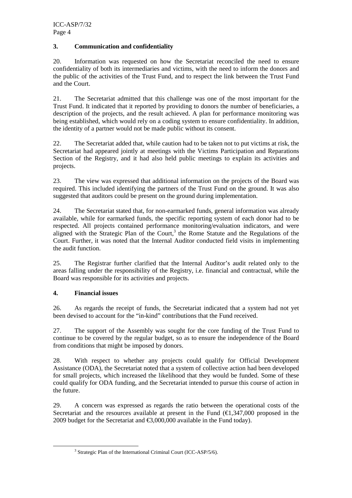#### **3. Communication and confidentiality**

20. Information was requested on how the Secretariat reconciled the need to ensure confidentiality of both its intermediaries and victims, with the need to inform the donors and the public of the activities of the Trust Fund, and to respect the link between the Trust Fund and the Court.

21. The Secretariat admitted that this challenge was one of the most important for the Trust Fund. It indicated that it reported by providing to donors the number of beneficiaries, a description of the projects, and the result achieved. A plan for performance monitoring was being established, which would rely on a coding system to ensure confidentiality. In addition, the identity of a partner would not be made public without its consent.

22. The Secretariat added that, while caution had to be taken not to put victims at risk, the Secretariat had appeared jointly at meetings with the Victims Participation and Reparations Section of the Registry, and it had also held public meetings to explain its activities and projects.

23. The view was expressed that additional information on the projects of the Board was required. This included identifying the partners of the Trust Fund on the ground. It was also suggested that auditors could be present on the ground during implementation.

24. The Secretariat stated that, for non-earmarked funds, general information was already available, while for earmarked funds, the specific reporting system of each donor had to be respected. All projects contained performance monitoring/evaluation indicators, and were aligned with the Strategic Plan of the Court, $3$  the Rome Statute and the Regulations of the Court. Further, it was noted that the Internal Auditor conducted field visits in implementing the audit function.

25. The Registrar further clarified that the Internal Auditor's audit related only to the areas falling under the responsibility of the Registry, i.e. financial and contractual, while the Board was responsible for its activities and projects.

#### **4. Financial issues**

ı

26. As regards the receipt of funds, the Secretariat indicated that a system had not yet been devised to account for the "in-kind" contributions that the Fund received.

27. The support of the Assembly was sought for the core funding of the Trust Fund to continue to be covered by the regular budget, so as to ensure the independence of the Board from conditions that might be imposed by donors.

28. With respect to whether any projects could qualify for Official Development Assistance (ODA), the Secretariat noted that a system of collective action had been developed for small projects, which increased the likelihood that they would be funded. Some of these could qualify for ODA funding, and the Secretariat intended to pursue this course of action in the future.

29. A concern was expressed as regards the ratio between the operational costs of the Secretariat and the resources available at present in the Fund  $(E1,347,000$  proposed in the 2009 budget for the Secretariat and  $\epsilon$ 3,000,000 available in the Fund today).

<sup>&</sup>lt;sup>3</sup> Strategic Plan of the International Criminal Court (ICC-ASP/5/6).